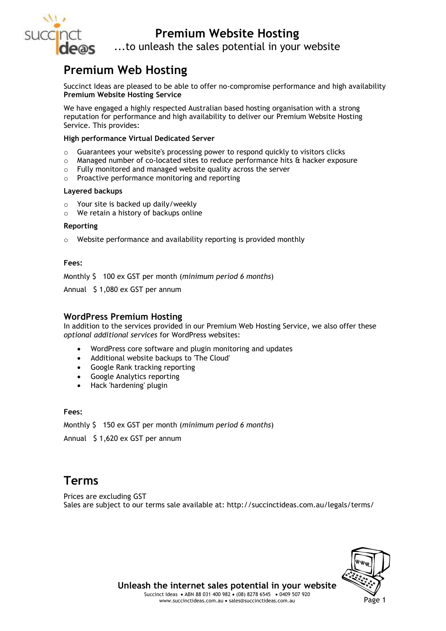

## **Premium Website Hosting**

...to unleash the sales potential in your website

## **Premium Web Hosting**

Succinct Ideas are pleased to be able to offer no-compromise performance and high availability **Premium Website Hosting Service**

We have engaged a highly respected Australian based hosting organisation with a strong reputation for performance and high availability to deliver our Premium Website Hosting Service. This provides:

### **High performance Virtual Dedicated Server**

- $\circ$  Guarantees your website's processing power to respond quickly to visitors clicks
- $\circ$  Managed number of co-located sites to reduce performance hits & hacker exposure
- $\circ$  Fully monitored and managed website quality across the server
- $\circ$  Proactive performance monitoring and reporting

### **Layered backups**

- o Your site is backed up daily/weekly
- o We retain a history of backups online

## **Reporting**

 $\circ$  Website performance and availability reporting is provided monthly

### **Fees:**

Monthly \$ 100 ex GST per month (*minimum period 6 months*)

Annual \$ 1,080 ex GST per annum

### **WordPress Premium Hosting**

In addition to the services provided in our Premium Web Hosting Service, we also offer these *optional additional services* for WordPress websites:

- WordPress core software and plugin monitoring and updates
- Additional website backups to 'The Cloud'
- Google Rank tracking reporting
- Google Analytics reporting
- Hack 'hardening' plugin

### **Fees:**

Monthly \$ 150 ex GST per month (*minimum period 6 months*)

Annual \$ 1,620 ex GST per annum

## **Terms**

Prices are excluding GST Sales are subject to our terms sale available at: http://succinctideas.com.au/legals/terms/